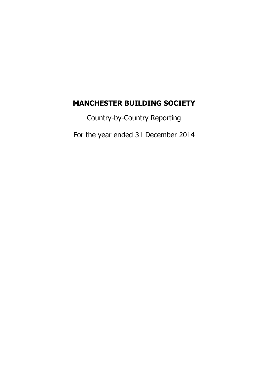# **MANCHESTER BUILDING SOCIETY**

Country-by-Country Reporting

For the year ended 31 December 2014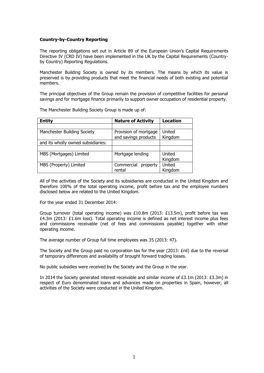### **Country-by-Country Reporting**

The reporting obligations set out in Article 89 of the European Union's Capital Requirements Directive IV (CRD IV) have been implemented in the UK by the Capital Requirements (Countryby Country) Reporting Regulations.

Manchester Building Society is owned by its members. The means by which its value is preserved is by providing products that meet the financial needs of both existing and potential members.

The principal objectives of the Group remain the provision of competitive facilities for personal savings and for mortgage finance primarily to support owner occupation of residential property.

The Manchester Building Society Group is made up of:

| <b>Entity</b>                      | <b>Nature of Activity</b>                     | <b>Location</b>   |
|------------------------------------|-----------------------------------------------|-------------------|
|                                    |                                               |                   |
| Manchester Building Society        | Provision of mortgage<br>and savings products | United<br>Kingdom |
| and its wholly owned subsidiaries: |                                               |                   |
|                                    |                                               |                   |
| MBS (Mortgages) Limited            | Mortgage lending                              | United<br>Kingdom |
| MBS (Property) Limited             | Commercial<br>property<br>rental              | United<br>Kingdom |

All of the activities of the Society and its subsidiaries are conducted in the United Kingdom and therefore 100% of the total operating income, profit before tax and the employee numbers disclosed below are related to the United Kingdom.

For the year ended 31 December 2014:

Group turnover (total operating income) was £10.8m (2013: £13.5m), profit before tax was  $£4.3m$  (2013: £1.6m loss). Total operating income is defined as net interest income plus fees and commissions receivable (net of fees and commissions payable) together with other operating income.

The average number of Group full time employees was 35 (2013: 47).

The Society and the Group paid no corporation tax for the year (2013:  $Enil$ ) due to the reversal of temporary differences and availability of brought forward trading losses.

No public subsidies were received by the Society and the Group in the year.

In 2014 the Society generated interest receivable and similar income of £3.1m (2013: £3.3m) in respect of Euro denominated loans and advances made on properties in Spain, however, all activities of the Society were conducted in the United Kingdom.